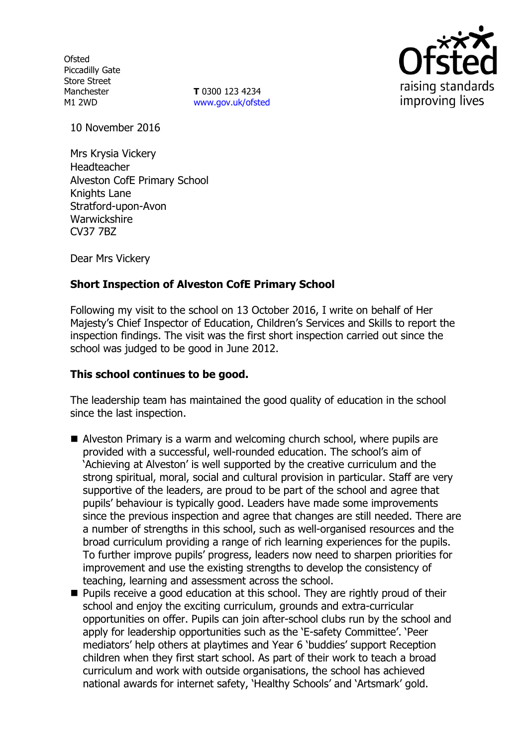**Ofsted** Piccadilly Gate Store Street Manchester M1 2WD

**T** 0300 123 4234 www.gov.uk/ofsted



10 November 2016

Mrs Krysia Vickery **Headteacher** Alveston CofE Primary School Knights Lane Stratford-upon-Avon Warwickshire CV37 7BZ

Dear Mrs Vickery

# **Short Inspection of Alveston CofE Primary School**

Following my visit to the school on 13 October 2016, I write on behalf of Her Majesty's Chief Inspector of Education, Children's Services and Skills to report the inspection findings. The visit was the first short inspection carried out since the school was judged to be good in June 2012.

#### **This school continues to be good.**

The leadership team has maintained the good quality of education in the school since the last inspection.

- Alveston Primary is a warm and welcoming church school, where pupils are provided with a successful, well-rounded education. The school's aim of 'Achieving at Alveston' is well supported by the creative curriculum and the strong spiritual, moral, social and cultural provision in particular. Staff are very supportive of the leaders, are proud to be part of the school and agree that pupils' behaviour is typically good. Leaders have made some improvements since the previous inspection and agree that changes are still needed. There are a number of strengths in this school, such as well-organised resources and the broad curriculum providing a range of rich learning experiences for the pupils. To further improve pupils' progress, leaders now need to sharpen priorities for improvement and use the existing strengths to develop the consistency of teaching, learning and assessment across the school.
- **Pupils receive a good education at this school. They are rightly proud of their** school and enjoy the exciting curriculum, grounds and extra-curricular opportunities on offer. Pupils can join after-school clubs run by the school and apply for leadership opportunities such as the 'E-safety Committee'. 'Peer mediators' help others at playtimes and Year 6 'buddies' support Reception children when they first start school. As part of their work to teach a broad curriculum and work with outside organisations, the school has achieved national awards for internet safety, 'Healthy Schools' and 'Artsmark' gold.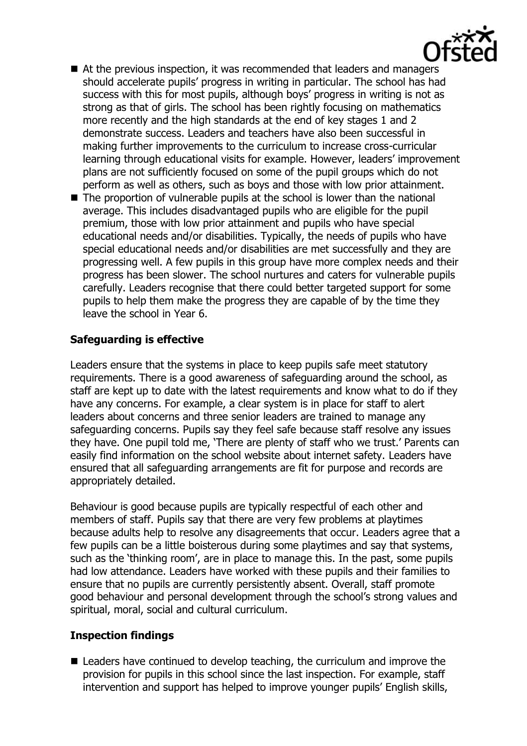- At the previous inspection, it was recommended that leaders and managers should accelerate pupils' progress in writing in particular. The school has had success with this for most pupils, although boys' progress in writing is not as strong as that of girls. The school has been rightly focusing on mathematics more recently and the high standards at the end of key stages 1 and 2 demonstrate success. Leaders and teachers have also been successful in making further improvements to the curriculum to increase cross-curricular learning through educational visits for example. However, leaders' improvement plans are not sufficiently focused on some of the pupil groups which do not perform as well as others, such as boys and those with low prior attainment.
- The proportion of vulnerable pupils at the school is lower than the national average. This includes disadvantaged pupils who are eligible for the pupil premium, those with low prior attainment and pupils who have special educational needs and/or disabilities. Typically, the needs of pupils who have special educational needs and/or disabilities are met successfully and they are progressing well. A few pupils in this group have more complex needs and their progress has been slower. The school nurtures and caters for vulnerable pupils carefully. Leaders recognise that there could better targeted support for some pupils to help them make the progress they are capable of by the time they leave the school in Year 6.

# **Safeguarding is effective**

Leaders ensure that the systems in place to keep pupils safe meet statutory requirements. There is a good awareness of safeguarding around the school, as staff are kept up to date with the latest requirements and know what to do if they have any concerns. For example, a clear system is in place for staff to alert leaders about concerns and three senior leaders are trained to manage any safeguarding concerns. Pupils say they feel safe because staff resolve any issues they have. One pupil told me, 'There are plenty of staff who we trust.' Parents can easily find information on the school website about internet safety. Leaders have ensured that all safeguarding arrangements are fit for purpose and records are appropriately detailed.

Behaviour is good because pupils are typically respectful of each other and members of staff. Pupils say that there are very few problems at playtimes because adults help to resolve any disagreements that occur. Leaders agree that a few pupils can be a little boisterous during some playtimes and say that systems, such as the 'thinking room', are in place to manage this. In the past, some pupils had low attendance. Leaders have worked with these pupils and their families to ensure that no pupils are currently persistently absent. Overall, staff promote good behaviour and personal development through the school's strong values and spiritual, moral, social and cultural curriculum.

# **Inspection findings**

■ Leaders have continued to develop teaching, the curriculum and improve the provision for pupils in this school since the last inspection. For example, staff intervention and support has helped to improve younger pupils' English skills,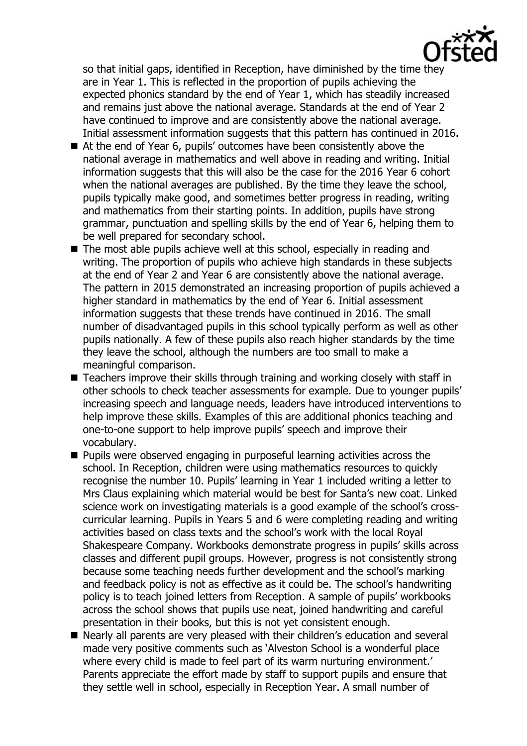so that initial gaps, identified in Reception, have diminished by the time they are in Year 1. This is reflected in the proportion of pupils achieving the expected phonics standard by the end of Year 1, which has steadily increased and remains just above the national average. Standards at the end of Year 2 have continued to improve and are consistently above the national average. Initial assessment information suggests that this pattern has continued in 2016.

- At the end of Year 6, pupils' outcomes have been consistently above the national average in mathematics and well above in reading and writing. Initial information suggests that this will also be the case for the 2016 Year 6 cohort when the national averages are published. By the time they leave the school, pupils typically make good, and sometimes better progress in reading, writing and mathematics from their starting points. In addition, pupils have strong grammar, punctuation and spelling skills by the end of Year 6, helping them to be well prepared for secondary school.
- The most able pupils achieve well at this school, especially in reading and writing. The proportion of pupils who achieve high standards in these subjects at the end of Year 2 and Year 6 are consistently above the national average. The pattern in 2015 demonstrated an increasing proportion of pupils achieved a higher standard in mathematics by the end of Year 6. Initial assessment information suggests that these trends have continued in 2016. The small number of disadvantaged pupils in this school typically perform as well as other pupils nationally. A few of these pupils also reach higher standards by the time they leave the school, although the numbers are too small to make a meaningful comparison.
- $\blacksquare$  Teachers improve their skills through training and working closely with staff in other schools to check teacher assessments for example. Due to younger pupils' increasing speech and language needs, leaders have introduced interventions to help improve these skills. Examples of this are additional phonics teaching and one-to-one support to help improve pupils' speech and improve their vocabulary.
- $\blacksquare$  Pupils were observed engaging in purposeful learning activities across the school. In Reception, children were using mathematics resources to quickly recognise the number 10. Pupils' learning in Year 1 included writing a letter to Mrs Claus explaining which material would be best for Santa's new coat. Linked science work on investigating materials is a good example of the school's crosscurricular learning. Pupils in Years 5 and 6 were completing reading and writing activities based on class texts and the school's work with the local Royal Shakespeare Company. Workbooks demonstrate progress in pupils' skills across classes and different pupil groups. However, progress is not consistently strong because some teaching needs further development and the school's marking and feedback policy is not as effective as it could be. The school's handwriting policy is to teach joined letters from Reception. A sample of pupils' workbooks across the school shows that pupils use neat, joined handwriting and careful presentation in their books, but this is not yet consistent enough.
- Nearly all parents are very pleased with their children's education and several made very positive comments such as 'Alveston School is a wonderful place where every child is made to feel part of its warm nurturing environment.' Parents appreciate the effort made by staff to support pupils and ensure that they settle well in school, especially in Reception Year. A small number of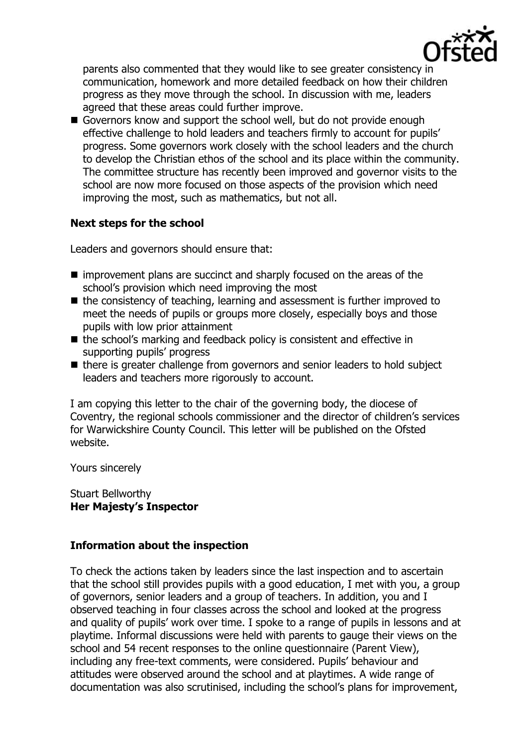

parents also commented that they would like to see greater consistency in communication, homework and more detailed feedback on how their children progress as they move through the school. In discussion with me, leaders agreed that these areas could further improve.

Governors know and support the school well, but do not provide enough effective challenge to hold leaders and teachers firmly to account for pupils' progress. Some governors work closely with the school leaders and the church to develop the Christian ethos of the school and its place within the community. The committee structure has recently been improved and governor visits to the school are now more focused on those aspects of the provision which need improving the most, such as mathematics, but not all.

### **Next steps for the school**

Leaders and governors should ensure that:

- improvement plans are succinct and sharply focused on the areas of the school's provision which need improving the most
- the consistency of teaching, learning and assessment is further improved to meet the needs of pupils or groups more closely, especially boys and those pupils with low prior attainment
- the school's marking and feedback policy is consistent and effective in supporting pupils' progress
- there is greater challenge from governors and senior leaders to hold subject leaders and teachers more rigorously to account.

I am copying this letter to the chair of the governing body, the diocese of Coventry, the regional schools commissioner and the director of children's services for Warwickshire County Council. This letter will be published on the Ofsted website.

Yours sincerely

Stuart Bellworthy **Her Majesty's Inspector** 

### **Information about the inspection**

To check the actions taken by leaders since the last inspection and to ascertain that the school still provides pupils with a good education, I met with you, a group of governors, senior leaders and a group of teachers. In addition, you and I observed teaching in four classes across the school and looked at the progress and quality of pupils' work over time. I spoke to a range of pupils in lessons and at playtime. Informal discussions were held with parents to gauge their views on the school and 54 recent responses to the online questionnaire (Parent View), including any free-text comments, were considered. Pupils' behaviour and attitudes were observed around the school and at playtimes. A wide range of documentation was also scrutinised, including the school's plans for improvement,